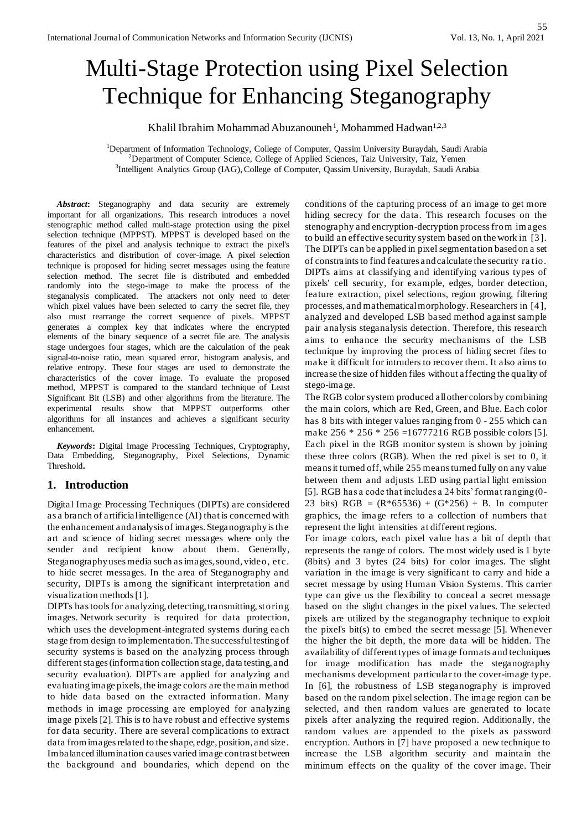# Multi-Stage Protection using Pixel Selection Technique for Enhancing Steganography

Khalil Ibrahim Mohammad Abuzanouneh<sup>1</sup>, Mohammed Hadwan<sup>1,2,3</sup>

<sup>1</sup>Department of Information Technology, College of Computer, Qassim University Buraydah, Saudi Arabia <sup>2</sup>Department of Computer Science, College of Applied Sciences, Taiz University, Taiz, Yemen 3 Intelligent Analytics Group (IAG), College of Computer, Qassim University, Buraydah, Saudi Arabia

*Abstract***:** Steganography and data security are extremely important for all organizations. This research introduces a novel stenographic method called multi-stage protection using the pixel selection technique (MPPST). MPPST is developed based on the features of the pixel and analysis technique to extract the pixel's characteristics and distribution of cover-image. A pixel selection technique is proposed for hiding secret messages using the feature selection method. The secret file is distributed and embedded randomly into the stego-image to make the process of the steganalysis complicated. The attackers not only need to deter which pixel values have been selected to carry the secret file, they also must rearrange the correct sequence of pixels. MPPST generates a complex key that indicates where the encrypted elements of the binary sequence of a secret file are. The analysis stage undergoes four stages, which are the calculation of the peak signal-to-noise ratio, mean squared error, histogram analysis, and relative entropy. These four stages are used to demonstrate the characteristics of the cover image. To evaluate the proposed method, MPPST is compared to the standard technique of Least Significant Bit (LSB) and other algorithms from the literature. The experimental results show that MPPST outperforms other algorithms for all instances and achieves a significant security enhancement.

*Keywords***:** Digital Image Processing Techniques, Cryptography, Data Embedding, Steganography, Pixel Selections, Dynamic Threshold**.** 

# **1. Introduction**

Digital Image Processing Techniques (DIPTs) are considered as a branch of artificial intelligence (AI) that is concerned with the enhancement and analysis of images. Steganography is the art and science of hiding secret messages where only the sender and recipient know about them. Generally, Steganography usesmedia such as images, sound, video, etc. to hide secret messages. In the area of Steganography and security, DIPTs is among the significant interpretation and visualization methods [1].

DIPTs has tools for analyzing, detecting, transmitting, storing images. Network security is required for data protection, which uses the development-integrated systems during each stage from design to implementation. The successful testing of security systems is based on the analyzing process through different stages (information collection stage, data testing, and security evaluation). DIPTs are applied for analyzing and evaluating image pixels, the image colors are the main method to hide data based on the extracted information. Many methods in image processing are employed for analyzing image pixels [2]. This is to have robust and effective systems for data security. There are several complications to extract data from images related to the shape, edge, position, and size. Imbalanced illumination causes varied image contrast between the background and boundaries, which depend on the

conditions of the capturing process of an image to get more hiding secrecy for the data. This research focuses on the stenography and encryption-decryption processfrom im ages to build an effective security system based on the work in [3]. The DIPTs can be applied in pixel segmentation based on a set of constraints to find features and calculate the security ra tio. DIPTs aims at classifying and identifying various types of pixels' cell security, for example, edges, border detection, feature extraction, pixel selections, region growing, filtering processes, and mathematical morphology. Researchers in [4], analyzed and developed LSB based method against sample pair analysis steganalysis detection. Therefore, this research aims to enhance the security mechanisms of the LSB technique by improving the process of hiding secret files to make it difficult for intruders to recover them. It also aims to increase the size of hidden files without affecting the quality of stego-image.

The RGB color system produced all other colors by combining the main colors, which are Red, Green, and Blue. Each color has 8 bits with integer values ranging from 0 - 255 which can make 256 \* 256 \* 256 = 16777216 RGB possible colors [5]. Each pixel in the RGB monitor system is shown by joining these three colors (RGB). When the red pixel is set to 0, it means it turned off, while 255 means turned fully on any value between them and adjusts LED using partial light emission [5]. RGB has a code that includes a 24 bits' format ranging (0- 23 bits)  $RGB = (R*65536) + (G*256) + B$ . In computer graphics, the image refers to a collection of numbers that represent the light intensities at different regions.

For image colors, each pixel value has a bit of depth that represents the range of colors. The most widely used is 1 byte (8bits) and 3 bytes (24 bits) for color images. The slight variation in the image is very significant to carry and hide a secret message by using Human Vision Systems. This carrier type can give us the flexibility to conceal a secret message based on the slight changes in the pixel values. The selected pixels are utilized by the steganography technique to exploit the pixel's bit(s) to embed the secret message [5]. Whenever the higher the bit depth, the more data will be hidden. The availability of different types of image formats and techniques for image modification has made the steganography mechanisms development particular to the cover-image type. In [6], the robustness of LSB steganography is improved based on the random pixel selection. The image region can be selected, and then random values are generated to locate pixels after analyzing the required region. Additionally, the random values are appended to the pixels as password encryption. Authors in [7] have proposed a new technique to increase the LSB algorithm security and maintain the minimum effects on the quality of the cover image. Their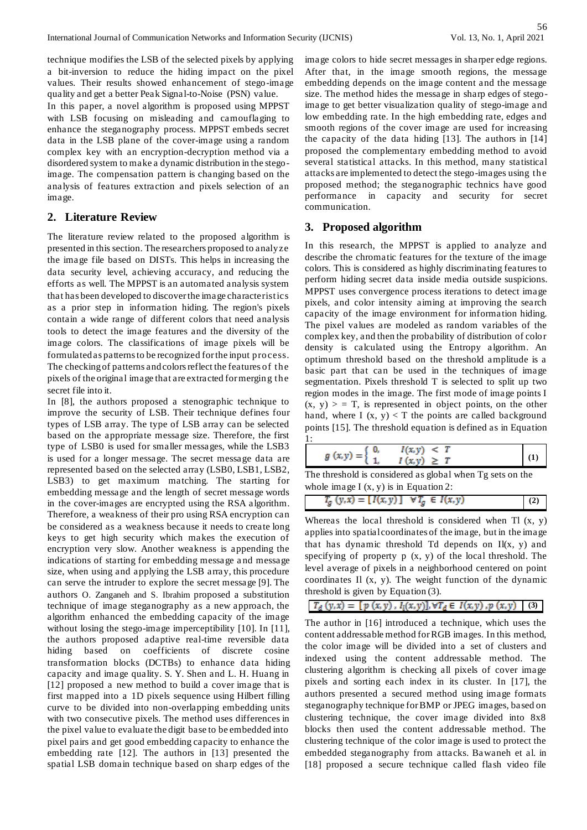technique modifies the LSB of the selected pixels by applying a bit-inversion to reduce the hiding impact on the pixel values. Their results showed enhancement of stego-image quality and get a better Peak Signal-to-Noise (PSN) value.

In this paper, a novel algorithm is proposed using MPPST with LSB focusing on misleading and camouflaging to enhance the steganography process. MPPST embeds secret data in the LSB plane of the cover-image using a random complex key with an encryption-decryption method via a disordered system to make a dynamic distribution in the stegoimage. The compensation pattern is changing based on the analysis of features extraction and pixels selection of an image.

## **2. Literature Review**

The literature review related to the proposed algorithm is presented in this section. The researchers proposed to analyze the image file based on DISTs. This helps in increasing the data security level, achieving accuracy, and reducing the efforts as well. The MPPST is an automated analysis system that has been developed to discover the image characteristics as a prior step in information hiding. The region's pixels contain a wide range of different colors that need analysis tools to detect the image features and the diversity of the image colors. The classifications of image pixels will be formulated as patterns to be recognized for the input process. The checking of patterns and colors reflect the features of the pixels of the original image that are extracted for merging the secret file into it.

In [8], the authors proposed a stenographic technique to improve the security of LSB. Their technique defines four types of LSB array. The type of LSB array can be selected based on the appropriate message size. Therefore, the first type of LSB0 is used for smaller messages, while the LSB3 is used for a longer message. The secret message data are represented based on the selected array (LSB0, LSB1, LSB2, LSB3) to get maximum matching. The starting for embedding message and the length of secret message words in the cover-images are encrypted using the RSA algorithm. Therefore, a weakness of their pro using RSA encryption can be considered as a weakness because it needs to create long keys to get high security which makes the execution of encryption very slow. Another weakness is appending the indications of starting for embedding message a nd message size, when using and applying the LSB array, this procedure can serve the intruder to explore the secret message [9]. The authors O. Zanganeh and S. Ibrahim proposed a substitution technique of image steganography as a new approach, the algorithm enhanced the embedding capacity of the image without losing the stego-image imperceptibility [10]. In [11], the authors proposed adaptive real-time reversible data hiding based on coefficients of discrete cosine transformation blocks (DCTBs) to enhance data hiding capacity and image quality. S. Y. Shen and L. H. Huang in [12] proposed a new method to build a cover image that is first mapped into a 1D pixels sequence using Hilbert filling curve to be divided into non-overlapping embedding units with two consecutive pixels. The method uses differences in the pixel value to evaluate the digit base to be embedded into pixel pairs and get good embedding capacity to enhance the embedding rate [12]. The authors in [13] presented the spatial LSB domain technique based on sharp edges of the

image colors to hide secret messages in sharper edge regions. After that, in the image smooth regions, the message embedding depends on the image content and the message size. The method hides the message in sharp edges of stegoimage to get better visualization quality of stego-image and low embedding rate. In the high embedding rate, edges and smooth regions of the cover image are used for increasing the capacity of the data hiding [13]. The authors in [14] proposed the complementary embedding method to avoid several statistical attacks. In this method, many statistical attacks are implemented to detect the stego-images using the proposed method; the steganographic technics have good performance in capacity and security for secret communication.

## **3. Proposed algorithm**

In this research, the MPPST is applied to analyze and describe the chromatic features for the texture of the image colors. This is considered as highly discriminating features to perform hiding secret data inside media outside suspicions. MPPST uses convergence process iterations to detect image pixels, and color intensity aiming at improving the search capacity of the image environment for information hiding. The pixel values are modeled as random variables of the complex key, and then the probability of distribution of color density is calculated using the Entropy algorithm. An optimum threshold based on the threshold amplitude is a basic part that can be used in the techniques of image segmentation. Pixels threshold T is selected to split up two region modes in the image. The first mode of image points I  $(x, y)$  > = T, is represented in object points, on the other hand, where I  $(x, y) < T$  the points are called background points [15]. The threshold equation is defined as in Equation 1:

| $g(x, y) = \}$ | I(x,y)<br>O,<br>$I(x, y) \geq T$ | $\leq$ T |  |
|----------------|----------------------------------|----------|--|
|                |                                  |          |  |

The threshold is considered as global when Tg sets on the whole image  $I(x, y)$  is in Equation 2:

| $T_g (y, x) = [I(x, y)] \quad \forall T_g \in I(x, y)$ |
|--------------------------------------------------------|
|--------------------------------------------------------|

Whereas the local threshold is considered when  $T1(x, y)$ applies into spatial coordinates of the image, but in the image that has dynamic threshold Td depends on Il(x, y) and specifying of property  $p(x, y)$  of the local threshold. The level average of pixels in a neighborhood centered on point coordinates Il (x, y). The weight function of the dynamic threshold is given by Equation (3).

 $T_d(y,x) = [p(x,y), I_l(x,y)], \forall T_d \in I(x,y), p(x,y)$  (3)

The author in [16] introduced a technique, which uses the content addressable method for RGB images. In this method, the color image will be divided into a set of clusters and indexed using the content addressable method. The clustering algorithm is checking all pixels of cover image pixels and sorting each index in its cluster. In [17], the authors presented a secured method using image formats steganography technique for BMP or JPEG images, based on clustering technique, the cover image divided into 8x8 blocks then used the content addressable method. The clustering technique of the color image is used to protect the embedded steganography from attacks. Bawaneh et al. in [18] proposed a secure technique called flash video file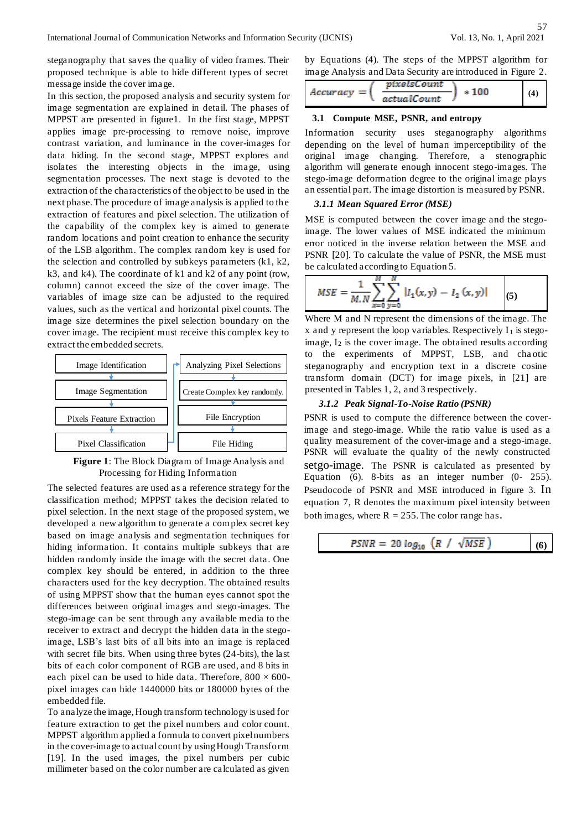steganography that saves the quality of video frames. Their proposed technique is able to hide different types of secret message inside the cover image.

In this section, the proposed analysis and security system for image segmentation are explained in detail. The phases of MPPST are presented in figure1. In the first stage, MPPST applies image pre-processing to remove noise, improve contrast variation, and luminance in the cover-images for data hiding. In the second stage, MPPST explores and isolates the interesting objects in the image, using segmentation processes. The next stage is devoted to the extraction of the characteristics of the object to be used in the next phase. The procedure of image analysis is applied to the extraction of features and pixel selection. The utilization of the capability of the complex key is aimed to generate random locations and point creation to enhance the security of the LSB algorithm. The complex random key is used for the selection and controlled by subkeys parameters (k1, k2, k3, and k4). The coordinate of k1 and k2 of any point (row, column) cannot exceed the size of the cover image. The variables of image size can be adjusted to the required values, such as the vertical and horizontal pixel counts. The image size determines the pixel selection boundary on the cover image. The recipient must receive this complex key to extract the embedded secrets.



**Figure 1**: The Block Diagram of Image Analysis and Processing for Hiding Information

The selected features are used as a reference strategy for the classification method; MPPST takes the decision related to pixel selection. In the next stage of the proposed system, we developed a new algorithm to generate a complex secret key based on image analysis and segmentation techniques for hiding information. It contains multiple subkeys that are hidden randomly inside the image with the secret data. One complex key should be entered, in addition to the three characters used for the key decryption. The obtained results of using MPPST show that the human eyes cannot spot the differences between original images and stego-images. The stego-image can be sent through any available media to the receiver to extract and decrypt the hidden data in the stegoimage, LSB's last bits of all bits into an image is replaced with secret file bits. When using three bytes (24-bits), the last bits of each color component of RGB are used, and 8 bits in each pixel can be used to hide data. Therefore,  $800 \times 600$ pixel images can hide 1440000 bits or 180000 bytes of the embedded file.

To analyze the image, Hough transform technology is used for feature extraction to get the pixel numbers and color count. MPPST algorithm applied a formula to convert pixel numbers in the cover-image to actual count by using Hough Transform [19]. In the used images, the pixel numbers per cubic millimeter based on the color number are calculated as given by Equations (4). The steps of the MPPST algorithm for image Analysis and Data Security are introduced in Figure 2.

$$
Accuracy = \left(\frac{pixelsCount}{actualCount}\right) * 100
$$
 (4)

#### **3.1 Compute MSE, PSNR, and entropy**

Information security uses steganography algorithms depending on the level of human imperceptibility of the original image changing. Therefore, a stenographic algorithm will generate enough innocent stego-images. The stego-image deformation degree to the original image plays an essential part. The image distortion is measured by PSNR.

#### *3.1.1 Mean Squared Error (MSE)*

MSE is computed between the cover image and the stegoimage. The lower values of MSE indicated the minimum error noticed in the inverse relation between the MSE and PSNR [20]. To calculate the value of PSNR, the MSE must be calculated according to Equation 5.

$$
MSE = \frac{1}{M.N} \sum_{x=0}^{M} \sum_{y=0}^{N} |I_1(x, y) - I_2(x, y)|
$$
 (5)

Where M and N represent the dimensions of the image. The  $x$  and  $y$  represent the loop variables. Respectively  $I_1$  is stegoimage,  $I_2$  is the cover image. The obtained results according to the experiments of MPPST, LSB, and cha otic steganography and encryption text in a discrete cosine transform domain (DCT) for image pixels, in [21] are presented in Tables 1, 2, and 3 respectively.

#### *3.1.2 Peak Signal-To-Noise Ratio (PSNR)*

PSNR is used to compute the difference between the coverimage and stego-image. While the ratio value is used as a quality measurement of the cover-image and a stego-image. PSNR will evaluate the quality of the newly constructed setgo-image. The PSNR is calculated as presented by Equation (6). 8-bits as an integer number (0- 255). Pseudocode of PSNR and MSE introduced in figure 3. In equation 7, R denotes the maximum pixel intensity between both images, where  $R = 255$ . The color range has.

$$
PSNR = 20 \log_{10} \left( R / \sqrt{MSE} \right) \tag{6}
$$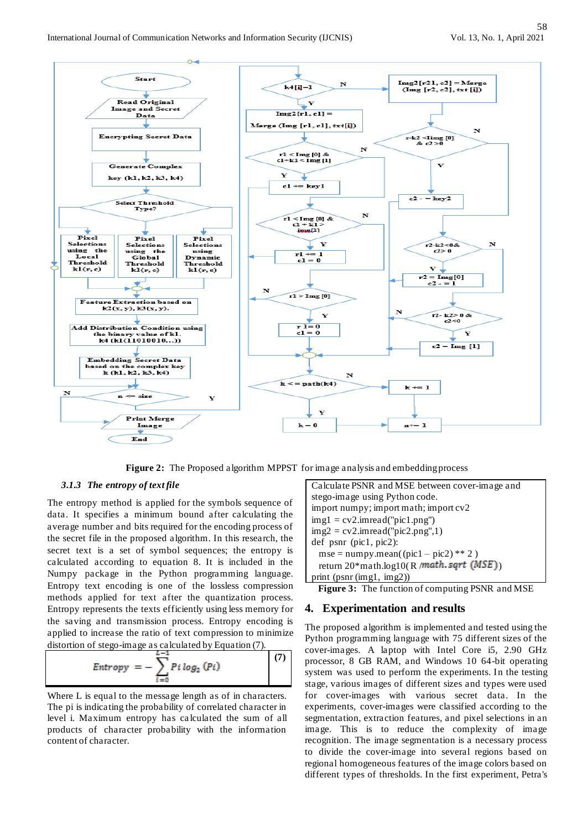

**Figure 2:** The Proposed algorithm MPPST for image analysis and embedding process

#### *3.1.3 The entropy of text file*

The entropy method is applied for the symbols sequence of data. It specifies a minimum bound after calculating the average number and bits required for the encoding process of the secret file in the proposed algorithm. In this research, the secret text is a set of symbol sequences; the entropy is calculated according to equation 8. It is included in the Numpy package in the Python programming language. Entropy text encoding is one of the lossless compression methods applied for text after the quantization process. Entropy represents the texts efficiently using less memory for the saving and transmission process. Entropy encoding is applied to increase the ratio of text compression to minimize distortion of stego-image as calculated by Equation (7).

$$
Entropy = -\sum_{i=0}^{L-1} P_i log_2 (Pi)
$$
 (7)

Where L is equal to the message length as of in characters. The pi is indicating the probability of correlated character in level i. Maximum entropy has ca lculated the sum of all products of character probability with the information content of character.

Calculate PSNR and MSE between cover-image and stego-image using Python code. import numpy; import math; import cv2  $img1 = cv2.imread("pic1.png")$  $img2 = cv2.inread("pic2.png", 1)$ def psnr (pic1, pic2):  $mse = numpy_mean((pic1 - pic2) ** 2)$ return 20\*math.log10(R /math.sqrt (MSE)) print (psnr (img1, img2))

**Figure 3:** The function of computing PSNR and MSE

## **4. Experimentation and results**

The proposed algorithm is implemented and tested using the Python programming language with 75 different sizes of the cover-images. A laptop with Intel Core i5, 2.90 GHz processor, 8 GB RAM, and Windows 10 64-bit operating system was used to perform the experiments. In the testing stage, various images of different sizes and types were used for cover-images with various secret data. In the experiments, cover-images were classified according to the segmentation, extraction features, and pixel selections in an image. This is to reduce the complexity of image recognition. The image segmentation is a necessary process to divide the cover-image into several regions based on regional homogeneous features of the image colors based on different types of thresholds. In the first experiment, Petra's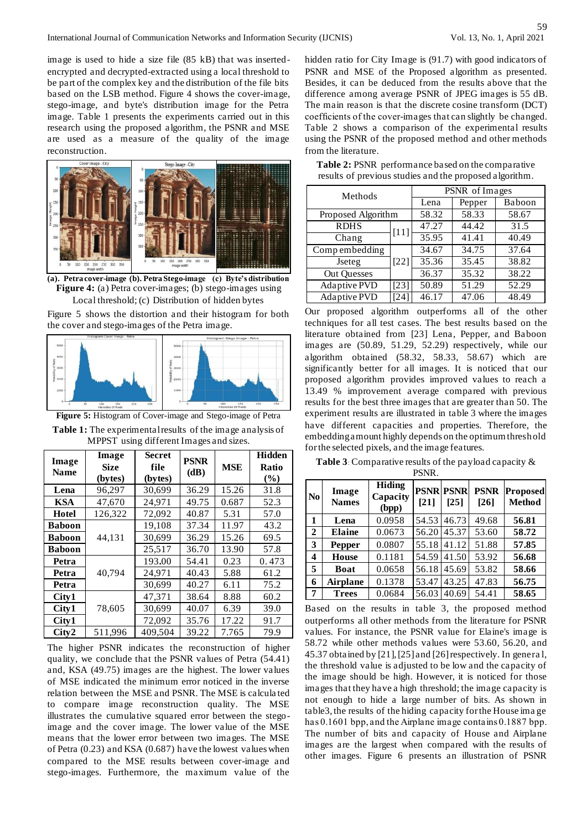image is used to hide a size file (85 kB) that was insertedencrypted and decrypted-extracted using a local threshold to be part of the complex key and the distribution of the file bits based on the LSB method. Figure 4 shows the cover-image, stego-image, and byte's distribution image for the Petra image. Table 1 presents the experiments carried out in this research using the proposed algorithm, the PSNR and MSE are used as a measure of the quality of the image reconstruction.



**(a). Petra cover-image (b). Petra Stego-image (c) Byte's distribution Figure 4:** (a) Petra cover-images; (b) stego-images using Local threshold; (c) Distribution of hidden bytes

Figure 5 shows the distortion and their histogram for both the cover and stego-images of the Petra image.



**Figure 5:** Histogram of Cover-image and Stego-image of Petra

**Table 1:** The experimental results of the image analysis of MPPST using different Images and sizes.

| Image<br><b>Name</b> | Image<br><b>Size</b><br>(bytes) | <b>Secret</b><br>file<br>(bytes) | <b>PSNR</b><br>(dB) | <b>MSE</b> | <b>Hidden</b><br>Ratio<br>$(\%)$ |
|----------------------|---------------------------------|----------------------------------|---------------------|------------|----------------------------------|
| Lena                 | 96,297                          | 30,699                           | 36.29               | 15.26      | 31.8                             |
| <b>KSA</b>           | 47,670                          | 24,971                           | 49.75               | 0.687      | 52.3                             |
| <b>Hotel</b>         | 126,322                         | 72,092                           | 40.87               | 5.31       | 57.0                             |
| <b>Baboon</b>        |                                 | 19,108                           | 37.34               | 11.97      | 43.2                             |
| <b>Baboon</b>        | 44,131                          | 30,699                           | 36.29               | 15.26      | 69.5                             |
| <b>Baboon</b>        |                                 | 25,517                           | 36.70               | 13.90      | 57.8                             |
| Petra                |                                 | 193.00                           | 54.41               | 0.23       | 0.473                            |
| Petra                | 40,794                          | 24,971                           | 40.43               | 5.88       | 61.2                             |
| Petra                |                                 | 30,699                           | 40.27               | 6.11       | 75.2                             |
| City1                |                                 | 47,371                           | 38.64               | 8.88       | 60.2                             |
| City1                | 78,605                          | 30,699                           | 40.07               | 6.39       | 39.0                             |
| City1                |                                 | 72,092                           | 35.76               | 17.22      | 91.7                             |
| City2                | 511,996                         | 409,504                          | 39.22               | 7.765      | 79.9                             |

The higher PSNR indicates the reconstruction of higher quality, we conclude that the PSNR values of Petra (54.41) and, KSA (49.75) images are the highest. The lower values of MSE indicated the minimum error noticed in the inverse relation between the MSE and PSNR. The MSE is calcula ted to compare image reconstruction quality. The MSE illustrates the cumulative squared error between the stegoimage and the cover image. The lower value of the MSE means that the lower error between two images. The MSE of Petra (0.23) and KSA (0.687) have the lowest values when compared to the MSE results between cover-image and stego-images. Furthermore, the maximum value of the

hidden ratio for City Image is (91.7) with good indicators of PSNR and MSE of the Proposed algorithm as presented. Besides, it can be deduced from the results above that the difference among average PSNR of JPEG images is 55 dB. The main reason is that the discrete cosine transform (DCT) coefficients of the cover-images that can slightly be changed. Table 2 shows a comparison of the experimental results using the PSNR of the proposed method and other methods from the literature.

| Methods            |        | PSNR of Images |        |       |  |  |
|--------------------|--------|----------------|--------|-------|--|--|
|                    | Lena   | Pepper         | Baboon |       |  |  |
| Proposed Algorithm |        | 58.32          | 58.33  | 58.67 |  |  |
| <b>RDHS</b>        | $[11]$ | 47.27          | 44.42  | 31.5  |  |  |
| Chang              |        | 35.95          | 41.41  | 40.49 |  |  |
| Compembedding      |        | 34.67          | 34.75  | 37.64 |  |  |
| Jseteg             | $[22]$ | 35.36          | 35.45  | 38.82 |  |  |
| <b>Out Quesses</b> |        | 36.37          | 35.32  | 38.22 |  |  |
| Adaptive PVD       | $[23]$ | 50.89          | 51.29  | 52.29 |  |  |
| Adaptive PVD       | [24]   | 46.17          | 47.06  | 48.49 |  |  |

**Table 2:** PSNR performance based on the comparative results of previous studies and the proposed algorithm.

Our proposed algorithm outperforms all of the other techniques for all test cases. The best results based on the literature obtained from [23] Lena, Pepper, and Baboon images are (50.89, 51.29, 52.29) respectively, while our algorithm obtained (58.32, 58.33, 58.67) which are significantly better for all images. It is noticed that our proposed algorithm provides improved values to reach a 13.49 % improvement average compared with previous results for the best three images that are greater than 50. The experiment results are illustrated in table 3 where the images have different capacities and properties. Therefore, the embedding amount highly depends on the optimum threshold for the selected pixels, and the image features.

**Table 3**: Comparative results of the payload capacity & PSNR.

| N <sub>0</sub> | Image<br><b>Names</b> | <b>Hiding</b><br>Capacity<br>(bpp) | <b>PSNR PSNR</b><br>[21] | [25]  | <b>PSNR</b><br>[26] | <b>Proposed</b><br><b>Method</b> |
|----------------|-----------------------|------------------------------------|--------------------------|-------|---------------------|----------------------------------|
| 1              | Lena                  | 0.0958                             | 54.53                    | 46.73 | 49.68               | 56.81                            |
| $\overline{2}$ | <b>Elaine</b>         | 0.0673                             | 56.20                    | 45.37 | 53.60               | 58.72                            |
| 3              | Pepper                | 0.0807                             | 55.18                    | 41.12 | 51.88               | 57.85                            |
| 4              | <b>House</b>          | 0.1181                             | 54.59                    | 41.50 | 53.92               | 56.68                            |
| 5              | Boat                  | 0.0658                             | 56.18                    | 45.69 | 53.82               | 58.66                            |
| 6              | <b>Airplane</b>       | 0.1378                             | 53.47                    | 43.25 | 47.83               | 56.75                            |
| 7              | <b>Trees</b>          | 0.0684                             | 56.03                    | 40.69 | 54.41               | 58.65                            |

Based on the results in table 3, the proposed method outperforms all other methods from the literature for PSNR values. For instance, the PSNR value for Elaine's image is 58.72 while other methods values were 53.60, 56.20, and 45.37 obtained by [21], [25] and [26] respectively. In genera l, the threshold value is adjusted to be low and the capacity of the image should be high. However, it is noticed for those images that they have a high threshold; the image capacity is not enough to hide a large number of bits. As shown in table3, the results of the hiding capacity for the House ima ge has 0.1601 bpp, and the Airplane image contains 0.1887 bpp. The number of bits and capacity of House and Airplane images are the largest when compared with the results of other images. Figure 6 presents an illustration of PSNR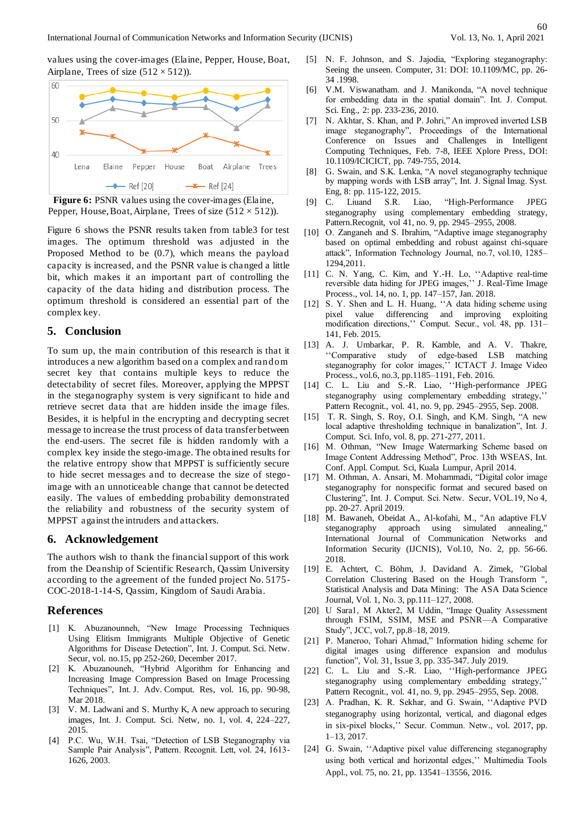values using the cover-images (Elaine, Pepper, House, Boat, Airplane, Trees of size  $(512 \times 512)$ ).



Figure 6: PSNR values using the cover-images (Elaine, Pepper, House, Boat, Airplane, Trees of size  $(512 \times 512)$ ).

Figure 6 shows the PSNR results taken from table3 for test images. The optimum threshold was adjusted in the Proposed Method to be (0.7), which means the payload capacity is increased, and the PSNR value is changed a little bit, which makes it an important part of controlling the capacity of the data hiding and distribution process. The optimum threshold is considered an essential part of the complex key.

### **5. Conclusion**

To sum up, the main contribution of this research is that it introduces a new algorithm based on a complex and random secret key that contains multiple keys to reduce the detectability of secret files. Moreover, applying the MPPST in the steganography system is very significant to hide and retrieve secret data that are hidden inside the image files. Besides, it is helpful in the encrypting and decrypting secret message to increase the trust process of data transfer between the end-users. The secret file is hidden randomly with a complex key inside the stego-image. The obtained results for the relative entropy show that MPPST is sufficiently secure to hide secret messages and to decrease the size of stegoimage with an unnoticeable change that cannot be detected easily. The values of embedding probability demonstrated the reliability and robustness of the security system of MPPST against the intruders and attackers.

#### **6. Acknowledgement**

The authors wish to thank the financial support of this work from the Deanship of Scientific Research, Qassim University according to the agreement of the funded project No. 5175- COC-2018-1-14-S, Qassim, Kingdom of Saudi Arabia.

#### **References**

- [1] K. Abuzanounneh, "New Image Processing Techniques Using Elitism Immigrants Multiple Objective of Genetic Algorithms for Disease Detection", Int. J. Comput. Sci. Netw. Secur, vol. no.15, pp 252-260, December 2017.
- [2] K. Abuzanouneh, "Hybrid Algorithm for Enhancing and Increasing Image Compression Based on Image Processing Techniques", Int. J. Adv. Comput. Res, vol. 16, pp. 90-98, Mar 2018.
- [3] V. M. Ladwani and S. Murthy K, A new approach to securing images, Int. J. Comput. Sci. Netw, no. 1, vol. 4, 224–227, 2015.
- [4] P.C. Wu, W.H. Tsai, "Detection of LSB Steganography via Sample Pair Analysis", Pattern. Recognit. Lett, vol. 24, 1613- 1626, 2003.
- [5] N. F. Johnson, and S. Jajodia, "Exploring steganography: Seeing the unseen. Computer, 31: DOI: 10.1109/MC, pp. 26- 34 .1998.
- [6] V.M. Viswanatham. and J. Manikonda, "A novel technique for embedding data in the spatial domain". Int. J. Comput. Sci. Eng., 2: pp. 233-236, 2010.
- [7] N. Akhtar, S. Khan, and P. Johri," An improved inverted LSB image steganography", Proceedings of the International Conference on Issues and Challenges in Intelligent Computing Techniques, Feb. 7-8, IEEE Xplore Press, DOI: 10.1109/ICICICT, pp. 749-755, 2014.
- [8] G. Swain, and S.K. Lenka, "A novel steganography technique by mapping words with LSB array", Int. J. Signal Imag. Syst. Eng, 8: pp. 115-122, 2015.
- [9] C. Liuand S.R. Liao, "High-Performance JPEG steganography using complementary embedding strategy, Pattern.Recognit, vol 41, no. 9, pp. 2945–2955, 2008.
- [10] O. Zanganeh and S. Ibrahim, "Adaptive image steganography based on optimal embedding and robust against chi-square attack", Information Technology Journal, no.7, vol.10, 1285– 1294,2011.
- [11] C. N. Yang, C. Kim, and Y.-H. Lo, "Adaptive real-time reversible data hiding for JPEG images,'' J. Real-Time Image Process., vol. 14, no. 1, pp. 147–157, Jan. 2018.
- [12] S. Y. Shen and L. H. Huang, "A data hiding scheme using pixel value differencing and improving exploiting modification directions,'' Comput. Secur., vol. 48, pp. 131– 141, Feb. 2015.
- [13] A. J. Umbarkar, P. R. Kamble, and A. V. Thakre, ''Comparative study of edge-based LSB matching steganography for color images,'' ICTACT J. Image Video Process., vol.6, no.3, pp.1185–1191, Feb. 2016.
- [14] C. L. Liu and S.-R. Liao, "High-performance JPEG steganography using complementary embedding strategy,'' Pattern Recognit., vol. 41, no. 9, pp. 2945–2955, Sep. 2008.
- [15] T. R. Singh, S. Roy, O.I. Singh, and K.M. Singh, "A new local adaptive thresholding technique in banalization", Int. J. Comput. Sci. Info, vol. 8, pp. 271-277, 2011.
- [16] M. Othman, "New Image Watermarking Scheme based on Image Content Addressing Method", Proc. 13th WSEAS, Int. Conf. Appl. Comput. Sci, Kuala Lumpur, April 2014.
- [17] M. Othman, A. Ansari, M. Mohammadi, "Digital color image steganography for nonspecific format and secured based on Clustering", Int. J. Comput. Sci. Netw. Secur, VOL.19, No 4, pp. 20-27. April 2019.
- [18] M. Bawaneh, Obeidat A., Al-kofahi, M., "An adaptive FLV steganography approach using simulated annealing," International Journal of Communication Networks and Information Security (IJCNIS), Vol.10, No. 2, pp. 56-66. 2018.
- [19] E. Achtert, C. Böhm, J. Davidand A. Zimek, "Global Correlation Clustering Based on the Hough Transform ", Statistical Analysis and Data Mining: The ASA Data Science Journal, Vol. 1, No. 3, pp.111–127, 2008.
- [20] U Sara1, M Akter2, M Uddin, "Image Quality Assessment through FSIM, SSIM, MSE and PSNR—A Comparative Study", JCC, vol.7, pp.8–18, 2019.
- [21] P. Maneroo, Tohari Ahmad," Information hiding scheme for digital images using difference expansion and modulus function", Vol. 31, Issue 3, pp. 335-347. July 2019.
- [22] C. L. Liu and S.-R. Liao, ''High-performance JPEG steganography using complementary embedding strategy,'' Pattern Recognit., vol. 41, no. 9, pp. 2945–2955, Sep. 2008.
- [23] A. Pradhan, K. R. Sekhar, and G. Swain, ''Adaptive PVD steganography using horizontal, vertical, and diagonal edges in six-pixel blocks,'' Secur. Commun. Netw., vol. 2017, pp. 1–13, 2017.
- [24] G. Swain, ''Adaptive pixel value differencing steganography using both vertical and horizontal edges,'' Multimedia Tools Appl., vol. 75, no. 21, pp. 13541–13556, 2016.